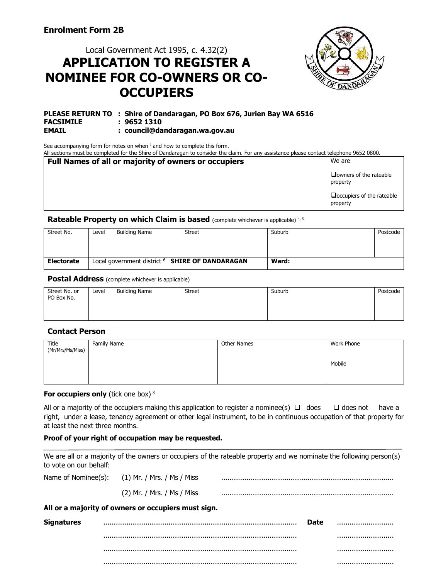# Local Government Act 1995, c. 4.32(2) **APPLICATION TO REGISTER A NOMINEE FOR CO-OWNERS OR CO-OCCUPIERS**



#### **PLEASE RETURN TO : Shire of Dandaragan, PO Box 676, Jurien Bay WA 6516 FACSIMILE : 9652 1310**<br>**EMAIL** : council@da **EMAIL : council@dandaragan.wa.gov.au**

See accompanying form for notes on when  $1$  and how to complete this form.

All sections must be completed for the Shire of Dandaragan to consider the claim. For any assistance please contact telephone 9652 0800.

| <b>Full Names of all or majority of owners or occupiers</b> | We are                                       |
|-------------------------------------------------------------|----------------------------------------------|
|                                                             | $\Box$ owners of the rateable<br>property    |
|                                                             | $\Box$ occupiers of the rateable<br>property |

**Rateable Property on which Claim is based** (complete whichever is applicable)<sup>4,5</sup>

| Street No.        | Level | <b>Building Name</b> | Street                                                     | Suburb | Postcode |
|-------------------|-------|----------------------|------------------------------------------------------------|--------|----------|
|                   |       |                      |                                                            |        |          |
|                   |       |                      |                                                            |        |          |
|                   |       |                      |                                                            |        |          |
| <b>Electorate</b> |       |                      | Local government district <sup>6</sup> SHIRE OF DANDARAGAN | Ward:  |          |

**Postal Address** (complete whichever is applicable)

| Street No. or<br>PO Box No. | Level | <b>Building Name</b> | <b>Street</b> | Suburb | Postcode |
|-----------------------------|-------|----------------------|---------------|--------|----------|
|                             |       |                      |               |        |          |
|                             |       |                      |               |        |          |

#### **Contact Person**

 $\overline{M}$ 

| Title<br>(Mr/Mrs/Ms/Miss) | <b>Family Name</b> | Other Names | Work Phone |
|---------------------------|--------------------|-------------|------------|
|                           |                    |             | Mobile     |
|                           |                    |             |            |

#### **For occupiers only** (tick one box)<sup>3</sup>

All or a majority of the occupiers making this application to register a nominee(s)  $\Box$  does  $\Box$  does not have a right, under a lease, tenancy agreement or other legal instrument, to be in continuous occupation of that property for at least the next three months.

#### **Proof of your right of occupation may be requested.**

We are all or a majority of the owners or occupiers of the rateable property and we nominate the following person(s) to vote on our behalf:

|                   | Name of Nominee(s): (1) Mr. / Mrs. / Ms / Miss      |             |  |
|-------------------|-----------------------------------------------------|-------------|--|
|                   | (2) Mr. / Mrs. / Ms / Miss                          |             |  |
|                   | All or a majority of owners or occupiers must sign. |             |  |
| <b>Signatures</b> |                                                     | <b>Date</b> |  |
|                   |                                                     |             |  |
|                   |                                                     |             |  |
|                   |                                                     |             |  |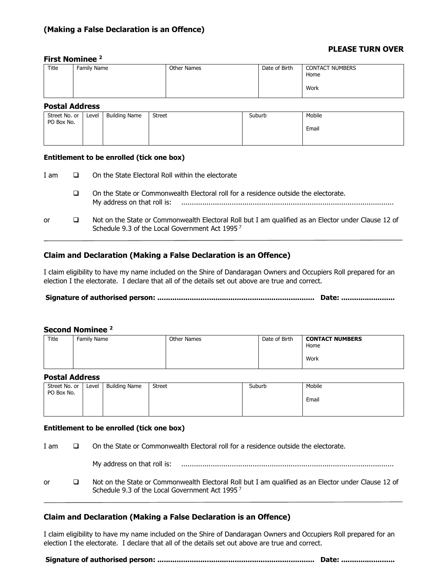#### **PLEASE TURN OVER**

#### **First Nominee 2**

| Title | Family Name | Other Names | Date of Birth | <b>CONTACT NUMBERS</b><br>Home<br>Work |
|-------|-------------|-------------|---------------|----------------------------------------|
|       |             |             |               |                                        |

#### **Postal Address**

| .                           |       |                      |               |        |        |
|-----------------------------|-------|----------------------|---------------|--------|--------|
| Street No. or<br>PO Box No. | Level | <b>Building Name</b> | <b>Street</b> | Suburb | Mobile |
|                             |       |                      |               |        | Email  |
|                             |       |                      |               |        |        |

#### **Entitlement to be enrolled (tick one box)**

| I am |   | On the State Electoral Roll within the electorate                                                                                                                 |
|------|---|-------------------------------------------------------------------------------------------------------------------------------------------------------------------|
|      | ⊔ | On the State or Commonwealth Electoral roll for a residence outside the electorate.<br>My address on that roll is:                                                |
| or   |   | Not on the State or Commonwealth Electoral Roll but I am qualified as an Elector under Clause 12 of<br>Schedule 9.3 of the Local Government Act 1995 <sup>7</sup> |

### **Claim and Declaration (Making a False Declaration is an Offence)**

I claim eligibility to have my name included on the Shire of Dandaragan Owners and Occupiers Roll prepared for an election I the electorate. I declare that all of the details set out above are true and correct.

**Signature of authorised person: ......................................................................... Date: .........................** 

#### **Second Nominee 2**

| Title | Family Name | Other Names | Date of Birth | <b>CONTACT NUMBERS</b><br>Home<br>Work |
|-------|-------------|-------------|---------------|----------------------------------------|
|       |             |             |               |                                        |

#### **Postal Address**

| Street No. or<br>PO Box No. | Level | <b>Building Name</b> | <b>Street</b> | Suburb | Mobile |
|-----------------------------|-------|----------------------|---------------|--------|--------|
|                             |       |                      |               |        | Email  |
|                             |       |                      |               |        |        |

#### **Entitlement to be enrolled (tick one box)**

| I am | On the State or Commonwealth Electoral roll for a residence outside the electorate.                                                                   |
|------|-------------------------------------------------------------------------------------------------------------------------------------------------------|
|      |                                                                                                                                                       |
| or   | Not on the State or Commonwealth Electoral Roll but I am qualified as an Elector under Clause 12 of<br>Schedule 9.3 of the Local Government Act 19957 |

#### **Claim and Declaration (Making a False Declaration is an Offence)**

I claim eligibility to have my name included on the Shire of Dandaragan Owners and Occupiers Roll prepared for an election I the electorate. I declare that all of the details set out above are true and correct.

**Signature of authorised person: ......................................................................... Date: .........................**